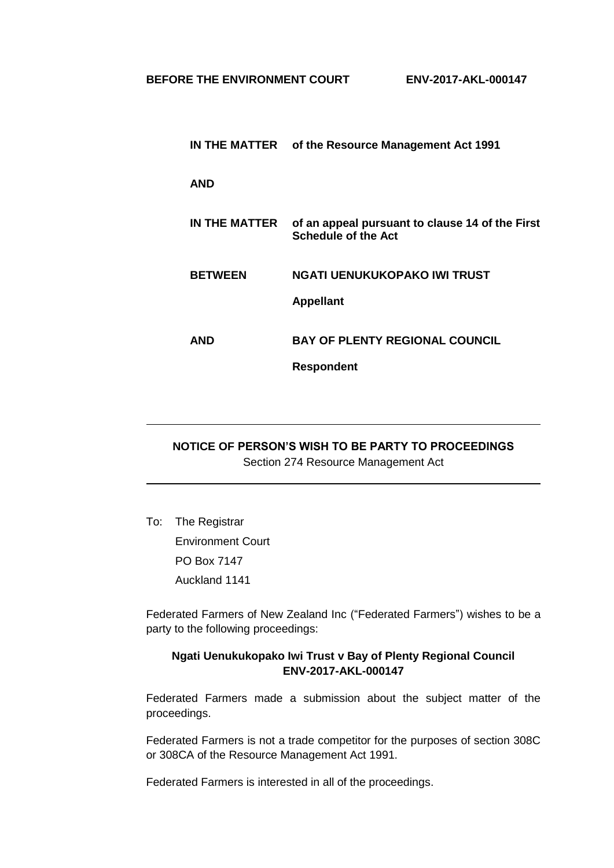|                | IN THE MATTER of the Resource Management Act 1991                             |
|----------------|-------------------------------------------------------------------------------|
| <b>AND</b>     |                                                                               |
| IN THE MATTER  | of an appeal pursuant to clause 14 of the First<br><b>Schedule of the Act</b> |
| <b>BETWEEN</b> | NGATI UENUKUKOPAKO IWI TRUST<br><b>Appellant</b>                              |
| AND            | <b>BAY OF PLENTY REGIONAL COUNCIL</b>                                         |
|                | <b>Respondent</b>                                                             |

## **NOTICE OF PERSON'S WISH TO BE PARTY TO PROCEEDINGS** Section 274 Resource Management Act

To: The Registrar Environment Court PO Box 7147 Auckland 1141

Federated Farmers of New Zealand Inc ("Federated Farmers") wishes to be a party to the following proceedings:

## **Ngati Uenukukopako Iwi Trust v Bay of Plenty Regional Council ENV-2017-AKL-000147**

Federated Farmers made a submission about the subject matter of the proceedings.

Federated Farmers is not a trade competitor for the purposes of section 308C or 308CA of the Resource Management Act 1991.

Federated Farmers is interested in all of the proceedings.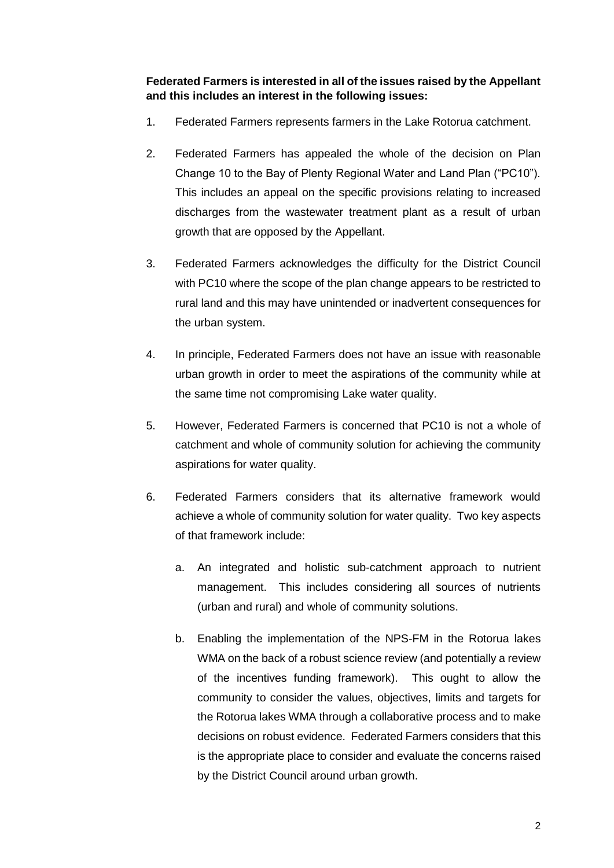**Federated Farmers is interested in all of the issues raised by the Appellant and this includes an interest in the following issues:**

- 1. Federated Farmers represents farmers in the Lake Rotorua catchment.
- 2. Federated Farmers has appealed the whole of the decision on Plan Change 10 to the Bay of Plenty Regional Water and Land Plan ("PC10"). This includes an appeal on the specific provisions relating to increased discharges from the wastewater treatment plant as a result of urban growth that are opposed by the Appellant.
- 3. Federated Farmers acknowledges the difficulty for the District Council with PC10 where the scope of the plan change appears to be restricted to rural land and this may have unintended or inadvertent consequences for the urban system.
- 4. In principle, Federated Farmers does not have an issue with reasonable urban growth in order to meet the aspirations of the community while at the same time not compromising Lake water quality.
- 5. However, Federated Farmers is concerned that PC10 is not a whole of catchment and whole of community solution for achieving the community aspirations for water quality.
- 6. Federated Farmers considers that its alternative framework would achieve a whole of community solution for water quality. Two key aspects of that framework include:
	- a. An integrated and holistic sub-catchment approach to nutrient management. This includes considering all sources of nutrients (urban and rural) and whole of community solutions.
	- b. Enabling the implementation of the NPS-FM in the Rotorua lakes WMA on the back of a robust science review (and potentially a review of the incentives funding framework). This ought to allow the community to consider the values, objectives, limits and targets for the Rotorua lakes WMA through a collaborative process and to make decisions on robust evidence. Federated Farmers considers that this is the appropriate place to consider and evaluate the concerns raised by the District Council around urban growth.